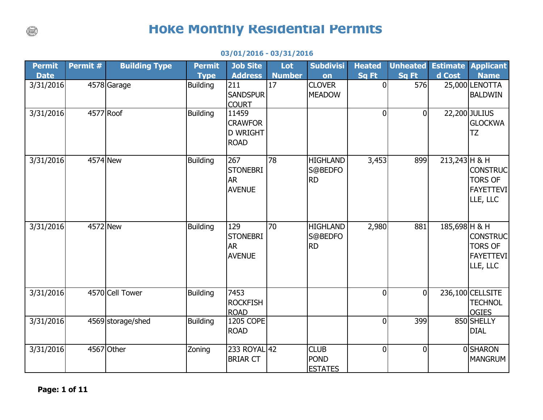## **Hoke Monthly Residential Permits**

| <b>Permit</b> | Permit # | <b>Building Type</b> | <b>Permit</b>   | <b>Job Site</b>                                           | Lot           | <b>Subdivisi</b>                             | <b>Heated</b>  | <b>Unheated</b> |               | <b>Estimate Applicant</b>                                         |
|---------------|----------|----------------------|-----------------|-----------------------------------------------------------|---------------|----------------------------------------------|----------------|-----------------|---------------|-------------------------------------------------------------------|
| <b>Date</b>   |          |                      | <b>Type</b>     | <b>Address</b>                                            | <b>Number</b> | on                                           | Sq Ft          | Sq Ft           | d Cost        | <b>Name</b>                                                       |
| 3/31/2016     |          | 4578 Garage          | <b>Building</b> | 211<br><b>SANDSPUR</b><br><b>COURT</b>                    | 17            | <b>CLOVER</b><br><b>MEADOW</b>               | $\overline{0}$ | 576             |               | 25,000 LENOTTA<br><b>BALDWIN</b>                                  |
| 3/31/2016     |          | 4577 Roof            | <b>Building</b> | 11459<br><b>CRAWFOR</b><br><b>D WRIGHT</b><br><b>ROAD</b> |               |                                              | $\overline{0}$ | $\overline{0}$  |               | 22,200 JULIUS<br><b>GLOCKWA</b><br><b>TZ</b>                      |
| 3/31/2016     | 4574 New |                      | <b>Building</b> | 267<br><b>STONEBRI</b><br><b>AR</b><br><b>AVENUE</b>      | 78            | <b>HIGHLAND</b><br>S@BEDFO<br><b>RD</b>      | 3,453          | 899             | 213,243 H & H | <b>CONSTRUC</b><br><b>TORS OF</b><br><b>FAYETTEVI</b><br>LLE, LLC |
| 3/31/2016     | 4572 New |                      | <b>Building</b> | 129<br><b>STONEBRI</b><br><b>AR</b><br><b>AVENUE</b>      | 70            | <b>HIGHLAND</b><br>S@BEDFO<br><b>RD</b>      | 2,980          | 881             | 185,698 H & H | <b>CONSTRUC</b><br><b>TORS OF</b><br><b>FAYETTEVI</b><br>LLE, LLC |
| 3/31/2016     |          | 4570 Cell Tower      | <b>Building</b> | 7453<br><b>ROCKFISH</b><br><b>ROAD</b>                    |               |                                              | $\overline{0}$ | 0               |               | 236,100 CELLSITE<br><b>TECHNOL</b><br><b>OGIES</b>                |
| 3/31/2016     |          | 4569 storage/shed    | <b>Building</b> | 1205 COPE<br><b>ROAD</b>                                  |               |                                              | $\overline{0}$ | 399             |               | 850 SHELLY<br><b>DIAL</b>                                         |
| 3/31/2016     |          | 4567 Other           | Zoning          | 233 ROYAL 42<br><b>BRIAR CT</b>                           |               | <b>CLUB</b><br><b>POND</b><br><b>ESTATES</b> | $\overline{0}$ | $\Omega$        |               | <b>OSHARON</b><br><b>MANGRUM</b>                                  |

## **03/01/2016 - 03/31/2016**

 $(\text{m})$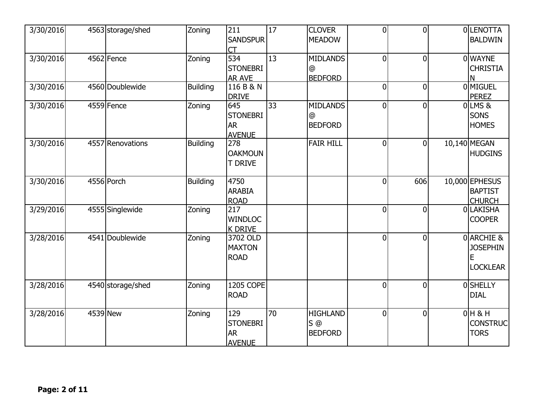| 3/30/2016 | 4563 storage/shed | Zoning          | 211<br><b>SANDSPUR</b><br>СT                         | $\overline{17}$ | <b>CLOVER</b><br><b>MEADOW</b>             | $\overline{0}$ | $\overline{0}$ | OLENOTTA<br><b>BALDWIN</b>                        |
|-----------|-------------------|-----------------|------------------------------------------------------|-----------------|--------------------------------------------|----------------|----------------|---------------------------------------------------|
| 3/30/2016 | 4562 Fence        | Zoning          | 534<br><b>STONEBRI</b><br><b>AR AVE</b>              | 13              | <b>MIDLANDS</b><br>@<br><b>BEDFORD</b>     | $\overline{0}$ | $\overline{0}$ | 0 WAYNE<br><b>CHRISTIA</b><br>N                   |
| 3/30/2016 | 4560 Doublewide   | <b>Building</b> | 116 B & N<br><b>DRIVE</b>                            |                 |                                            | $\overline{0}$ | $\overline{0}$ | <b>OMIGUEL</b><br><b>PEREZ</b>                    |
| 3/30/2016 | 4559 Fence        | Zoning          | 645<br><b>STONEBRI</b><br><b>AR</b><br><b>AVENUE</b> | 33              | <b>MIDLANDS</b><br>@<br><b>BEDFORD</b>     | $\overline{0}$ | $\overline{0}$ | $0$ LMS &<br><b>SONS</b><br><b>HOMES</b>          |
| 3/30/2016 | 4557 Renovations  | <b>Building</b> | 278<br><b>OAKMOUN</b><br><b>T DRIVE</b>              |                 | <b>FAIR HILL</b>                           | $\overline{0}$ | $\overline{0}$ | 10,140 MEGAN<br><b>HUDGINS</b>                    |
| 3/30/2016 | 4556 Porch        | <b>Building</b> | 4750<br><b>ARABIA</b><br><b>ROAD</b>                 |                 |                                            | $\overline{0}$ | 606            | 10,000 EPHESUS<br><b>BAPTIST</b><br><b>CHURCH</b> |
| 3/29/2016 | 4555 Singlewide   | Zoning          | 217<br><b>WINDLOC</b><br><b>K DRIVE</b>              |                 |                                            | $\overline{0}$ | $\Omega$       | 0LAKISHA<br><b>COOPER</b>                         |
| 3/28/2016 | 4541 Doublewide   | Zoning          | 3702 OLD<br><b>MAXTON</b><br><b>ROAD</b>             |                 |                                            | $\overline{0}$ | $\overline{0}$ | 0 ARCHIE &<br><b>JOSEPHIN</b><br><b>LOCKLEAR</b>  |
| 3/28/2016 | 4540 storage/shed | Zoning          | 1205 COPE<br><b>ROAD</b>                             |                 |                                            | $\overline{0}$ | $\overline{0}$ | 0SHELLY<br><b>DIAL</b>                            |
| 3/28/2016 | 4539 New          | Zoning          | 129<br><b>STONEBRI</b><br><b>AR</b><br><b>AVENUE</b> | 70              | <b>HIGHLAND</b><br>$S$ @<br><b>BEDFORD</b> | $\overline{0}$ | $\mathbf{0}$   | $0$ H & H<br><b>CONSTRUC</b><br><b>TORS</b>       |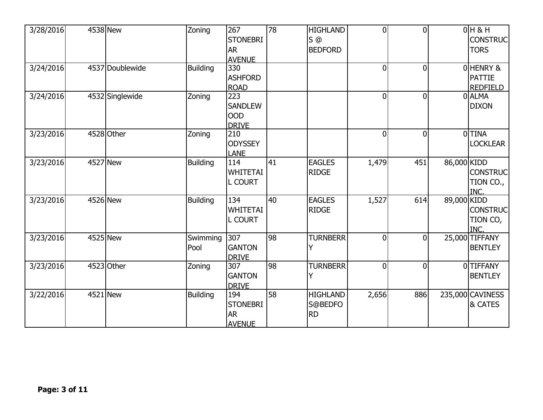| 3/28/2016 | 4538 New                | Zoning           | 267<br><b>STONEBRI</b><br><b>AR</b><br><b>AVENUE</b> | 78 | <b>HIGHLAND</b><br>$S$ <sup><math>@</math></sup><br><b>BEDFORD</b> | $\overline{0}$ | $\Omega$       |             | $0H$ & H<br><b>CONSTRUC</b><br><b>TORS</b>   |
|-----------|-------------------------|------------------|------------------------------------------------------|----|--------------------------------------------------------------------|----------------|----------------|-------------|----------------------------------------------|
| 3/24/2016 | 4537 Doublewide         | <b>Building</b>  | 330<br><b>ASHFORD</b><br><b>ROAD</b>                 |    |                                                                    | $\overline{0}$ | $\overline{0}$ |             | 0HENRY &<br><b>PATTIE</b><br><b>REDFIELD</b> |
| 3/24/2016 | 4532 Singlewide         | Zoning           | 223<br><b>SANDLEW</b><br><b>OOD</b><br><b>DRIVE</b>  |    |                                                                    | $\overline{0}$ | $\mathbf{0}$   |             | 0ALMA<br><b>DIXON</b>                        |
| 3/23/2016 | 4528 Other              | Zoning           | 210<br><b>ODYSSEY</b><br><b>LANE</b>                 |    |                                                                    | $\overline{0}$ | $\Omega$       |             | <b>O</b> TINA<br><b>LOCKLEAR</b>             |
| 3/23/2016 | 4527 New                | <b>Building</b>  | 114<br><b>WHITETAI</b><br><b>L COURT</b>             | 41 | <b>EAGLES</b><br><b>RIDGE</b>                                      | 1,479          | 451            | 86,000 KIDD | <b>CONSTRUC</b><br>TION CO.,<br>INC.         |
| 3/23/2016 | 4526 New                | <b>Building</b>  | 134<br><b>WHITETAI</b><br><b>L COURT</b>             | 40 | <b>EAGLES</b><br><b>RIDGE</b>                                      | 1,527          | 614            | 89,000 KIDD | <b>CONSTRUC</b><br>TION CO,<br>INC.          |
| 3/23/2016 | 4525 New                | Swimming<br>Pool | 307<br><b>GANTON</b><br><b>DRIVE</b>                 | 98 | <b>TURNBERR</b>                                                    | $\overline{0}$ | $\Omega$       |             | 25,000 TIFFANY<br><b>BENTLEY</b>             |
| 3/23/2016 | $\overline{4523}$ Other | Zoning           | 307<br><b>GANTON</b><br><b>DRIVE</b>                 | 98 | <b>TURNBERR</b>                                                    | $\overline{0}$ | $\mathbf 0$    |             | 0TIFFANY<br><b>BENTLEY</b>                   |
| 3/22/2016 | 4521 New                | Building         | 194<br><b>STONEBRI</b><br><b>AR</b><br><b>AVENUE</b> | 58 | <b>HIGHLAND</b><br>S@BEDFO<br><b>RD</b>                            | 2,656          | 886            |             | 235,000 CAVINESS<br>& CATES                  |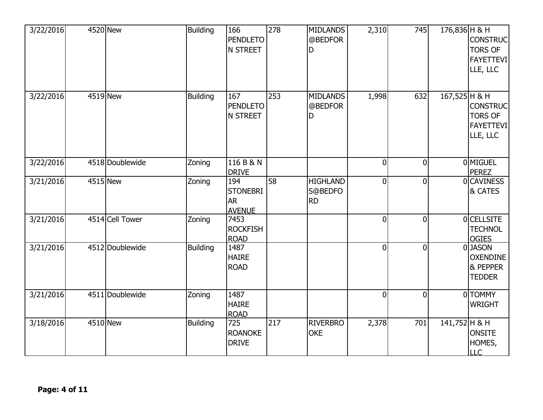| 3/22/2016 | 4520 New        | <b>Building</b> | 166<br><b>PENDLETO</b><br>N STREET                   | 278 | <b>MIDLANDS</b><br>@BEDFOR<br>D  | 2,310          | 745            | 176,836 H & H | <b>CONSTRUC</b><br><b>TORS OF</b><br><b>FAYETTEVI</b><br>LLE, LLC |
|-----------|-----------------|-----------------|------------------------------------------------------|-----|----------------------------------|----------------|----------------|---------------|-------------------------------------------------------------------|
| 3/22/2016 | 4519 New        | <b>Building</b> | 167<br><b>PENDLETO</b><br><b>N STREET</b>            | 253 | <b>MIDLANDS</b><br>@BEDFOR<br>D  | 1,998          | 632            | 167,525 H & H | <b>CONSTRUC</b><br><b>TORS OF</b><br><b>FAYETTEVI</b><br>LLE, LLC |
| 3/22/2016 | 4518 Doublewide | Zoning          | 116 B & N<br><b>DRIVE</b>                            |     |                                  | $\overline{0}$ | $\Omega$       |               | 0 MIGUEL<br><b>PEREZ</b>                                          |
| 3/21/2016 | 4515 New        | Zoning          | 194<br><b>STONEBRI</b><br><b>AR</b><br><b>AVENUE</b> | 58  | <b>HIGHLAND</b><br>S@BEDFO<br>RD | $\overline{0}$ | $\Omega$       |               | <b>OCAVINESS</b><br>& CATES                                       |
| 3/21/2016 | 4514 Cell Tower | Zoning          | 7453<br><b>ROCKFISH</b><br><b>ROAD</b>               |     |                                  | $\mathbf 0$    | $\mathbf 0$    |               | <b>OCELLSITE</b><br><b>TECHNOL</b><br><b>OGIES</b>                |
| 3/21/2016 | 4512 Doublewide | <b>Building</b> | 1487<br><b>HAIRE</b><br><b>ROAD</b>                  |     |                                  | $\overline{0}$ | $\overline{0}$ |               | 0JASON<br><b>OXENDINE</b><br>& PEPPER<br><b>TEDDER</b>            |
| 3/21/2016 | 4511 Doublewide | Zoning          | 1487<br><b>HAIRE</b><br><b>ROAD</b>                  |     |                                  | $\overline{0}$ | $\theta$       |               | 0TOMMY<br><b>WRIGHT</b>                                           |
| 3/18/2016 | 4510 New        | <b>Building</b> | 725<br><b>ROANOKE</b><br><b>DRIVE</b>                | 217 | <b>RIVERBRO</b><br><b>OKE</b>    | 2,378          | 701            | 141,752 H & H | <b>ONSITE</b><br>HOMES,<br><b>LLC</b>                             |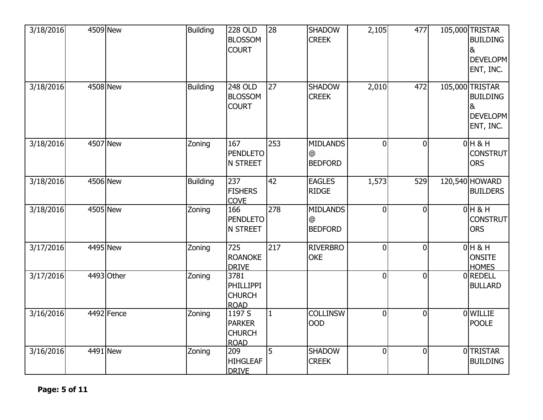| 3/18/2016 | 4509 New   | <b>Building</b> | <b>228 OLD</b><br><b>BLOSSOM</b><br><b>COURT</b>         | $\overline{28}$ | <b>SHADOW</b><br><b>CREEK</b>                    | 2,105          | 477            | 105,000 TRISTAR<br><b>BUILDING</b><br>&<br><b>DEVELOPM</b><br>ENT, INC.              |
|-----------|------------|-----------------|----------------------------------------------------------|-----------------|--------------------------------------------------|----------------|----------------|--------------------------------------------------------------------------------------|
| 3/18/2016 | 4508 New   | <b>Building</b> | <b>248 OLD</b><br><b>BLOSSOM</b><br><b>COURT</b>         | 27              | <b>SHADOW</b><br><b>CREEK</b>                    | 2,010          | 472            | 105,000 TRISTAR<br><b>BUILDING</b><br>8 <sub>k</sub><br><b>DEVELOPM</b><br>ENT, INC. |
| 3/18/2016 | 4507 New   | Zoning          | 167<br><b>PENDLETO</b><br><b>N STREET</b>                | 253             | <b>MIDLANDS</b><br>@<br><b>BEDFORD</b>           | $\overline{0}$ | $\overline{0}$ | $0H$ & H<br><b>CONSTRUT</b><br><b>ORS</b>                                            |
| 3/18/2016 | 4506 New   | <b>Building</b> | 237<br><b>FISHERS</b><br><b>COVE</b>                     | 42              | <b>EAGLES</b><br><b>RIDGE</b>                    | 1,573          | 529            | 120,540 HOWARD<br><b>BUILDERS</b>                                                    |
| 3/18/2016 | 4505 New   | Zoning          | 166<br><b>PENDLETO</b><br><b>N STREET</b>                | 278             | <b>MIDLANDS</b><br>$\circleda$<br><b>BEDFORD</b> | $\overline{0}$ | $\overline{0}$ | $0H$ & H<br><b>CONSTRUT</b><br><b>ORS</b>                                            |
| 3/17/2016 | 4495 New   | Zoning          | 725<br><b>ROANOKE</b><br><b>DRIVE</b>                    | 217             | <b>RIVERBRO</b><br><b>OKE</b>                    | $\overline{0}$ | $\overline{0}$ | $0H$ & H<br><b>ONSITE</b><br><b>HOMES</b>                                            |
| 3/17/2016 | 4493 Other | Zoning          | 3781<br><b>PHILLIPPI</b><br><b>CHURCH</b><br><b>ROAD</b> |                 |                                                  | $\overline{0}$ | $\overline{0}$ | 0REDELL<br><b>BULLARD</b>                                                            |
| 3/16/2016 | 4492 Fence | Zoning          | 1197 S<br><b>PARKER</b><br><b>CHURCH</b><br><b>ROAD</b>  | $\mathbf{1}$    | <b>COLLINSW</b><br><b>OOD</b>                    | $\overline{0}$ | $\overline{0}$ | 0 WILLIE<br><b>POOLE</b>                                                             |
| 3/16/2016 | 4491 New   | Zoning          | 209<br><b>HIHGLEAF</b><br><b>DRIVE</b>                   | 5               | <b>SHADOW</b><br><b>CREEK</b>                    | $\overline{0}$ | $\overline{0}$ | 0TRISTAR<br><b>BUILDING</b>                                                          |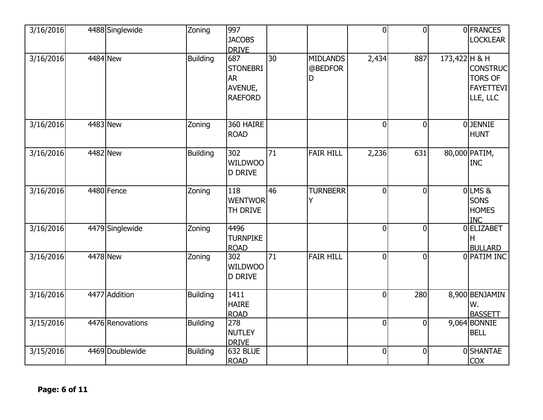| 3/16/2016 | 4488 Singlewide  | Zoning          | 997<br><b>JACOBS</b><br><b>DRIVE</b>                             |    |                                 | $\overline{0}$ | $\overline{0}$ |               | 0 FRANCES<br><b>LOCKLEAR</b>                                      |
|-----------|------------------|-----------------|------------------------------------------------------------------|----|---------------------------------|----------------|----------------|---------------|-------------------------------------------------------------------|
| 3/16/2016 | 4484 New         | <b>Building</b> | 687<br><b>STONEBRI</b><br><b>AR</b><br>AVENUE,<br><b>RAEFORD</b> | 30 | <b>MIDLANDS</b><br>@BEDFOR<br>D | 2,434          | 887            | 173,422 H & H | <b>CONSTRUC</b><br><b>TORS OF</b><br><b>FAYETTEVI</b><br>LLE, LLC |
| 3/16/2016 | 4483 New         | Zoning          | 360 HAIRE<br><b>ROAD</b>                                         |    |                                 | $\overline{0}$ | $\mathbf 0$    |               | OJENNIE<br><b>HUNT</b>                                            |
| 3/16/2016 | 4482 New         | <b>Building</b> | 302<br><b>WILDWOO</b><br><b>D DRIVE</b>                          | 71 | <b>FAIR HILL</b>                | 2,236          | 631            |               | 80,000 PATIM,<br><b>INC</b>                                       |
| 3/16/2016 | 4480 Fence       | Zoning          | 118<br><b>WENTWOR</b><br>TH DRIVE                                | 46 | <b>TURNBERR</b>                 | $\overline{0}$ | $\overline{0}$ |               | OLMS&<br><b>SONS</b><br><b>HOMES</b><br><b>INC</b>                |
| 3/16/2016 | 4479 Singlewide  | Zoning          | 4496<br><b>TURNPIKE</b><br><b>ROAD</b>                           |    |                                 | $\overline{0}$ | $\overline{0}$ |               | 0ELIZABET<br>н<br><b>BULLARD</b>                                  |
| 3/16/2016 | 4478 New         | Zoning          | 302<br><b>WILDWOO</b><br><b>D DRIVE</b>                          | 71 | <b>FAIR HILL</b>                | $\overline{0}$ | $\theta$       |               | 0 PATIM INC                                                       |
| 3/16/2016 | 4477 Addition    | <b>Building</b> | 1411<br><b>HAIRE</b><br><b>ROAD</b>                              |    |                                 | $\mathbf 0$    | 280            |               | 8,900 BENJAMIN<br>W.<br><b>BASSETT</b>                            |
| 3/15/2016 | 4476 Renovations | <b>Building</b> | 278<br>NUTLEY<br><b>DRIVE</b>                                    |    |                                 | $\mathbf 0$    | 0              |               | 9,064 BONNIE<br><b>BELL</b>                                       |
| 3/15/2016 | 4469 Doublewide  | <b>Building</b> | <b>632 BLUE</b><br><b>ROAD</b>                                   |    |                                 | $\mathbf 0$    | $\overline{0}$ |               | 0SHANTAE<br><b>COX</b>                                            |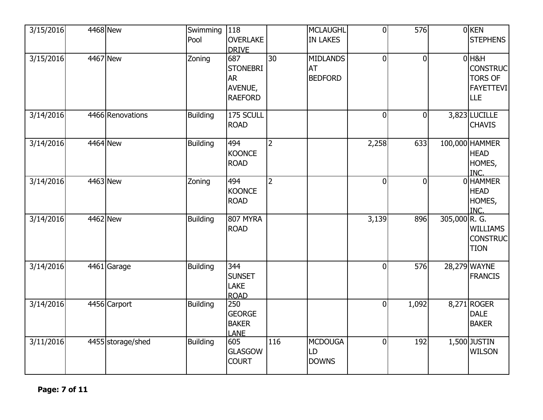| 3/15/2016 | 4468 New |                   | Swimming<br>Pool | 118<br><b>OVERLAKE</b><br><b>DRIVE</b>                           |                | MCLAUGHL<br><b>IN LAKES</b>                    | $\overline{0}$ | 576            |               | $0$ KEN<br><b>STEPHENS</b>                                                     |
|-----------|----------|-------------------|------------------|------------------------------------------------------------------|----------------|------------------------------------------------|----------------|----------------|---------------|--------------------------------------------------------------------------------|
| 3/15/2016 | 4467 New |                   | Zoning           | 687<br><b>STONEBRI</b><br><b>AR</b><br>AVENUE,<br><b>RAEFORD</b> | 30             | <b>MIDLANDS</b><br><b>AT</b><br><b>BEDFORD</b> | $\overline{0}$ | $\Omega$       |               | $0$ H&H<br><b>CONSTRUC</b><br><b>TORS OF</b><br><b>FAYETTEVI</b><br><b>LLE</b> |
| 3/14/2016 |          | 4466 Renovations  | <b>Building</b>  | 175 SCULL<br><b>ROAD</b>                                         |                |                                                | $\mathbf 0$    | $\overline{0}$ |               | 3,823 LUCILLE<br><b>CHAVIS</b>                                                 |
| 3/14/2016 | 4464 New |                   | <b>Building</b>  | 494<br>KOONCE<br><b>ROAD</b>                                     | $\overline{2}$ |                                                | 2,258          | 633            |               | 100,000 HAMMER<br><b>HEAD</b><br>HOMES,<br>INC.                                |
| 3/14/2016 | 4463 New |                   | Zoning           | 494<br>KOONCE<br><b>ROAD</b>                                     | $\overline{2}$ |                                                | $\overline{0}$ | $\Omega$       |               | 0 HAMMER<br><b>HEAD</b><br>HOMES,<br>INC.                                      |
| 3/14/2016 | 4462 New |                   | <b>Building</b>  | 807 MYRA<br><b>ROAD</b>                                          |                |                                                | 3,139          | 896            | 305,000 R. G. | <b>WILLIAMS</b><br><b>CONSTRUC</b><br><b>TION</b>                              |
| 3/14/2016 |          | 4461 Garage       | <b>Building</b>  | 344<br><b>SUNSET</b><br><b>LAKE</b><br><b>ROAD</b>               |                |                                                | $\overline{0}$ | 576            |               | 28,279 WAYNE<br><b>FRANCIS</b>                                                 |
| 3/14/2016 |          | 4456 Carport      | <b>Building</b>  | 250<br><b>GEORGE</b><br><b>BAKER</b><br><b>LANE</b>              |                |                                                | $\overline{0}$ | 1,092          |               | 8,271 ROGER<br><b>DALE</b><br><b>BAKER</b>                                     |
| 3/11/2016 |          | 4455 storage/shed | <b>Building</b>  | 605<br><b>GLASGOW</b><br><b>COURT</b>                            | 116            | <b>MCDOUGA</b><br>LD<br><b>DOWNS</b>           | $\overline{0}$ | 192            |               | 1,500 JUSTIN<br><b>WILSON</b>                                                  |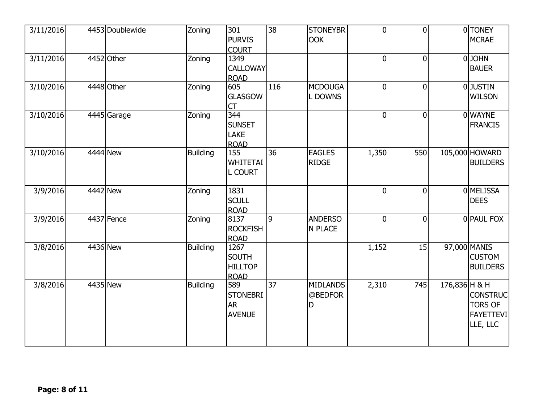| 3/11/2016 | 4453 Doublewide | Zoning          | 301<br><b>PURVIS</b><br><b>COURT</b>                  | <u>လ</u>        | <b>STONEYBR</b><br><b>OOK</b>   | $\overline{0}$ | $\overline{0}$ |               | 0TONEY<br><b>MCRAE</b>                                            |
|-----------|-----------------|-----------------|-------------------------------------------------------|-----------------|---------------------------------|----------------|----------------|---------------|-------------------------------------------------------------------|
| 3/11/2016 | 4452 Other      | Zoning          | 1349<br><b>CALLOWAY</b><br><b>ROAD</b>                |                 |                                 | $\overline{0}$ | $\overline{0}$ |               | 0JOHN<br><b>BAUER</b>                                             |
| 3/10/2016 | 4448 Other      | Zoning          | 605<br><b>GLASGOW</b><br>CT                           | 116             | <b>MCDOUGA</b><br>L DOWNS       | $\overline{0}$ | $\mathbf{0}$   |               | 0JUSTIN<br><b>WILSON</b>                                          |
| 3/10/2016 | 4445 Garage     | Zoning          | 344<br><b>SUNSET</b><br><b>LAKE</b><br><b>ROAD</b>    |                 |                                 | $\overline{0}$ | $\theta$       |               | 0 WAYNE<br><b>FRANCIS</b>                                         |
| 3/10/2016 | 4444 New        | <b>Building</b> | 155<br><b>WHITETAI</b><br><b>L COURT</b>              | 36              | <b>EAGLES</b><br><b>RIDGE</b>   | 1,350          | 550            |               | 105,000 HOWARD<br><b>BUILDERS</b>                                 |
| 3/9/2016  | 4442 New        | Zoning          | 1831<br><b>SCULL</b><br><b>ROAD</b>                   |                 |                                 | $\overline{0}$ | $\theta$       |               | <b>OMELISSA</b><br><b>DEES</b>                                    |
| 3/9/2016  | 4437 Fence      | Zoning          | 8137<br><b>ROCKFISH</b><br><b>ROAD</b>                | 9               | <b>ANDERSO</b><br>N PLACE       | $\overline{0}$ | $\Omega$       |               | 0 PAUL FOX                                                        |
| 3/8/2016  | 4436 New        | <b>Building</b> | 1267<br><b>SOUTH</b><br><b>HILLTOP</b><br><b>ROAD</b> |                 |                                 | 1,152          | 15             |               | 97,000 MANIS<br><b>CUSTOM</b><br><b>BUILDERS</b>                  |
| 3/8/2016  | 4435 New        | Building        | 589<br><b>STONEBRI</b><br><b>AR</b><br><b>AVENUE</b>  | $\overline{37}$ | <b>MIDLANDS</b><br>@BEDFOR<br>D | 2,310          | 745            | 176,836 H & H | <b>CONSTRUC</b><br><b>TORS OF</b><br><b>FAYETTEVI</b><br>LLE, LLC |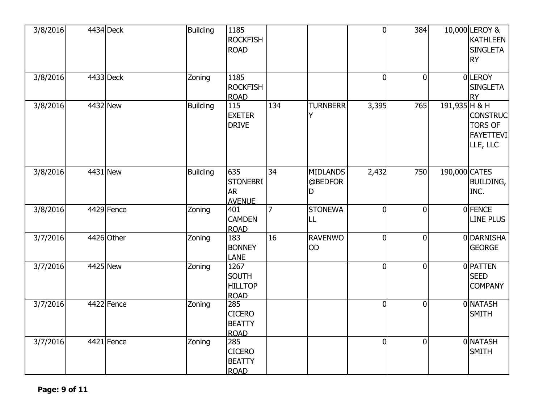| 3/8/2016 | 4434 Deck  | <b>Building</b> | 1185<br><b>ROCKFISH</b><br><b>ROAD</b>                |     |                                 | $\overline{0}$ | 384            |                 | 10,000 LEROY &<br><b>KATHLEEN</b><br><b>SINGLETA</b><br><b>RY</b> |
|----------|------------|-----------------|-------------------------------------------------------|-----|---------------------------------|----------------|----------------|-----------------|-------------------------------------------------------------------|
| 3/8/2016 | 4433 Deck  | Zoning          | 1185<br><b>ROCKFISH</b><br><b>ROAD</b>                |     |                                 | $\overline{0}$ | $\overline{0}$ |                 | 0LEROY<br><b>SINGLETA</b><br><b>RY</b>                            |
| 3/8/2016 | 4432 New   | <b>Building</b> | 115<br><b>EXETER</b><br><b>DRIVE</b>                  | 134 | <b>TURNBERR</b>                 | 3,395          | 765            | $191,935$ H & H | <b>CONSTRUC</b><br><b>TORS OF</b><br><b>FAYETTEVI</b><br>LLE, LLC |
| 3/8/2016 | 4431 New   | <b>Building</b> | 635<br><b>STONEBRI</b><br><b>AR</b><br><b>AVENUE</b>  | 34  | <b>MIDLANDS</b><br>@BEDFOR<br>D | 2,432          | 750            | 190,000 CATES   | <b>BUILDING,</b><br>INC.                                          |
| 3/8/2016 | 4429 Fence | Zoning          | 401<br><b>CAMDEN</b><br><b>ROAD</b>                   | 7   | <b>STONEWA</b><br>LL            | $\overline{0}$ | $\overline{0}$ |                 | 0 FENCE<br>LINE PLUS                                              |
| 3/7/2016 | 4426 Other | Zoning          | 183<br><b>BONNEY</b><br><b>LANE</b>                   | 16  | <b>RAVENWO</b><br>OD            | $\overline{0}$ | $\overline{0}$ |                 | 0 DARNISHA<br><b>GEORGE</b>                                       |
| 3/7/2016 | 4425 New   | Zoning          | 1267<br><b>SOUTH</b><br><b>HILLTOP</b><br><b>ROAD</b> |     |                                 | $\Omega$       | $\overline{0}$ |                 | 0 PATTEN<br><b>SEED</b><br><b>COMPANY</b>                         |
| 3/7/2016 | 4422 Fence | Zoning          | 285<br><b>CICERO</b><br><b>BEATTY</b><br><b>ROAD</b>  |     |                                 | $\overline{0}$ | $\overline{0}$ |                 | 0 NATASH<br><b>SMITH</b>                                          |
| 3/7/2016 | 4421 Fence | Zoning          | 285<br><b>CICERO</b><br><b>BEATTY</b><br><b>ROAD</b>  |     |                                 | $\overline{0}$ | $\Omega$       |                 | 0 NATASH<br><b>SMITH</b>                                          |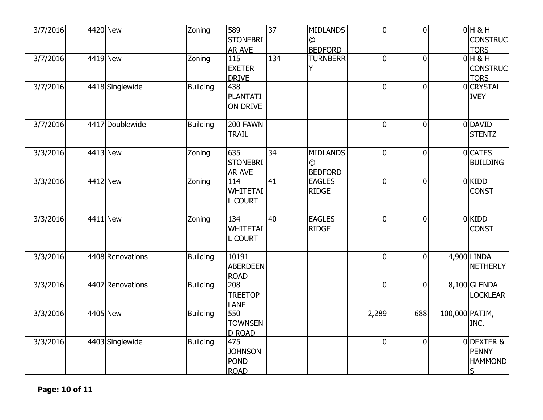| 3/7/2016 | 4420 New         | Zoning          | 589<br><b>STONEBRI</b><br>AR AVE                    | $\overline{37}$ | <b>MIDLANDS</b><br>@<br><b>BEDFORD</b>        | $\overline{0}$ | $\overline{0}$ |                | $0H$ & H<br><b>CONSTRUC</b><br><b>TORS</b>       |
|----------|------------------|-----------------|-----------------------------------------------------|-----------------|-----------------------------------------------|----------------|----------------|----------------|--------------------------------------------------|
| 3/7/2016 | 4419 New         | Zoning          | 115<br><b>EXETER</b><br><b>DRIVE</b>                | 134             | <b>TURNBERR</b>                               | $\overline{0}$ | $\overline{0}$ |                | $0H$ & H<br><b>CONSTRUC</b><br><b>TORS</b>       |
| 3/7/2016 | 4418 Singlewide  | <b>Building</b> | 438<br><b>PLANTATI</b><br>ON DRIVE                  |                 |                                               | $\overline{0}$ | $\Omega$       |                | 0 CRYSTAL<br><b>IVEY</b>                         |
| 3/7/2016 | 4417 Doublewide  | <b>Building</b> | 200 FAWN<br><b>TRAIL</b>                            |                 |                                               | $\overline{0}$ | $\overline{0}$ |                | 0 DAVID<br><b>STENTZ</b>                         |
| 3/3/2016 | 4413 New         | Zoning          | 635<br><b>STONEBRI</b><br><b>AR AVE</b>             | 34              | <b>MIDLANDS</b><br>$\omega$<br><b>BEDFORD</b> | $\overline{0}$ | $\overline{0}$ |                | 0 CATES<br><b>BUILDING</b>                       |
| 3/3/2016 | 4412 New         | Zoning          | 114<br><b>WHITETAI</b><br>L COURT                   | 41              | <b>EAGLES</b><br><b>RIDGE</b>                 | $\overline{0}$ | $\overline{0}$ |                | $0$ KIDD<br><b>CONST</b>                         |
| 3/3/2016 | 4411 New         | Zoning          | 134<br><b>WHITETAI</b><br><b>L COURT</b>            | 40              | <b>EAGLES</b><br><b>RIDGE</b>                 | $\overline{0}$ | $\theta$       |                | $0$ KIDD<br><b>CONST</b>                         |
| 3/3/2016 | 4408 Renovations | <b>Building</b> | 10191<br><b>ABERDEEN</b><br><b>ROAD</b>             |                 |                                               | $\overline{0}$ | $\overline{0}$ |                | $4,900$ LINDA<br><b>NETHERLY</b>                 |
| 3/3/2016 | 4407 Renovations | <b>Building</b> | 208<br><b>TREETOP</b><br><b>LANE</b>                |                 |                                               | $\overline{0}$ | $\overline{0}$ |                | 8,100 GLENDA<br><b>LOCKLEAR</b>                  |
| 3/3/2016 | 4405 New         | <b>Building</b> | 550<br><b>TOWNSEN</b><br><b>D ROAD</b>              |                 |                                               | 2,289          | 688            | 100,000 PATIM, | INC.                                             |
| 3/3/2016 | 4403 Singlewide  | <b>Building</b> | 475<br><b>JOHNSON</b><br><b>POND</b><br><b>ROAD</b> |                 |                                               | $\overline{0}$ | $\mathbf 0$    |                | 0DEXTER &<br><b>PENNY</b><br><b>HAMMOND</b><br>S |